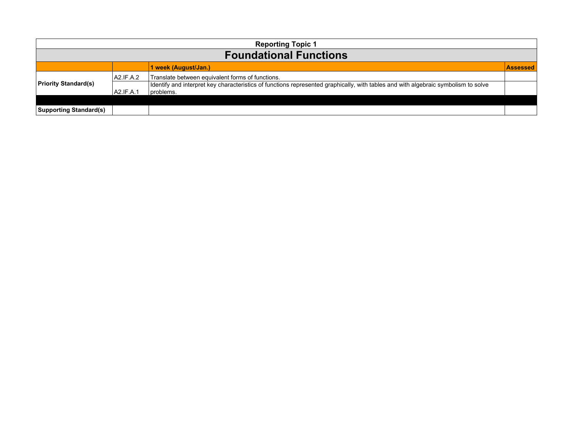| <b>Reporting Topic 1</b>      |           |                                                                                                                                                |                 |
|-------------------------------|-----------|------------------------------------------------------------------------------------------------------------------------------------------------|-----------------|
| <b>Foundational Functions</b> |           |                                                                                                                                                |                 |
|                               |           | 1 week (August/Jan.)                                                                                                                           | <b>Assessed</b> |
| <b>Priority Standard(s)</b>   | A2.IF.A.2 | Translate between equivalent forms of functions.                                                                                               |                 |
|                               | A2.IF.A.1 | dentify and interpret key characteristics of functions represented graphically, with tables and with algebraic symbolism to solve<br>problems. |                 |
|                               |           |                                                                                                                                                |                 |
| <b>Supporting Standard(s)</b> |           |                                                                                                                                                |                 |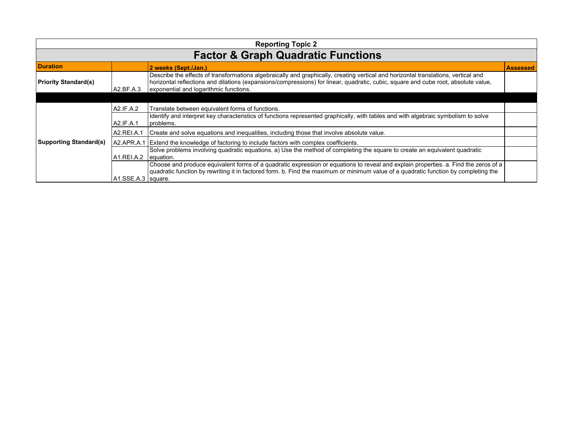| <b>Reporting Topic 2</b>                      |                      |                                                                                                                                                                                                                                                                                                                    |                 |
|-----------------------------------------------|----------------------|--------------------------------------------------------------------------------------------------------------------------------------------------------------------------------------------------------------------------------------------------------------------------------------------------------------------|-----------------|
| <b>Factor &amp; Graph Quadratic Functions</b> |                      |                                                                                                                                                                                                                                                                                                                    |                 |
| <b>Duration</b>                               |                      | 2 weeks (Sept./Jan.)                                                                                                                                                                                                                                                                                               | <b>Assessed</b> |
| <b>Priority Standard(s)</b>                   | A2.BF.A.3            | Describe the effects of transformations algebraically and graphically, creating vertical and horizontal translations, vertical and<br>horizontal reflections and dilations (expansions/compressions) for linear, quadratic, cubic, square and cube root, absolute value,<br>exponential and logarithmic functions. |                 |
|                                               |                      |                                                                                                                                                                                                                                                                                                                    |                 |
|                                               | A2.IF.A.2            | Translate between equivalent forms of functions.                                                                                                                                                                                                                                                                   |                 |
|                                               | A2.IF.A.1            | Identify and interpret key characteristics of functions represented graphically, with tables and with algebraic symbolism to solve<br>I problems.                                                                                                                                                                  |                 |
|                                               | A2.REI.A.1           | Create and solve equations and inequalities, including those that involve absolute value.                                                                                                                                                                                                                          |                 |
| <b>Supporting Standard(s)</b>                 | A2.APR.A.1           | Extend the knowledge of factoring to include factors with complex coefficients.                                                                                                                                                                                                                                    |                 |
|                                               | A1.REI.A.2           | Solve problems involving quadratic equations. a) Use the method of completing the square to create an equivalent quadratic<br>equation.                                                                                                                                                                            |                 |
|                                               |                      | Choose and produce equivalent forms of a quadratic expression or equations to reveal and explain properties. a. Find the zeros of a<br>quadratic function by rewriting it in factored form. b. Find the maximum or minimum value of a quadratic function by completing the                                         |                 |
|                                               | A1.SSE.A.3   square. |                                                                                                                                                                                                                                                                                                                    |                 |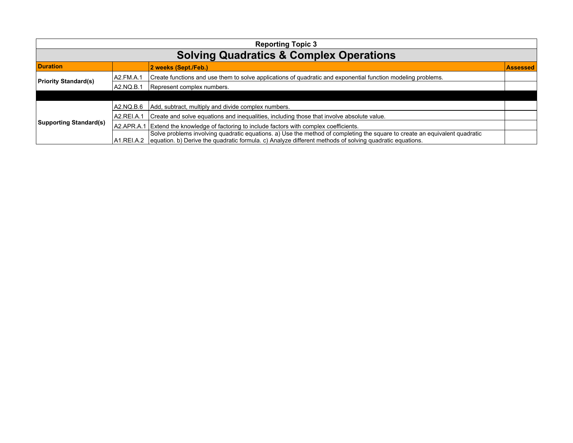| <b>Reporting Topic 3</b>      |                                                    |                                                                                                                                                                                                                                                  |                 |  |
|-------------------------------|----------------------------------------------------|--------------------------------------------------------------------------------------------------------------------------------------------------------------------------------------------------------------------------------------------------|-----------------|--|
|                               | <b>Solving Quadratics &amp; Complex Operations</b> |                                                                                                                                                                                                                                                  |                 |  |
| <b>Duration</b>               |                                                    | 2 weeks (Sept./Feb.)                                                                                                                                                                                                                             | <b>Assessed</b> |  |
| <b>Priority Standard(s)</b>   | LA2.FM.A.1                                         | Create functions and use them to solve applications of quadratic and exponential function modeling problems.                                                                                                                                     |                 |  |
|                               | A2.NQ.B.1                                          | Represent complex numbers.                                                                                                                                                                                                                       |                 |  |
|                               |                                                    |                                                                                                                                                                                                                                                  |                 |  |
| <b>Supporting Standard(s)</b> | A2.NQ.B.6                                          | Add, subtract, multiply and divide complex numbers.                                                                                                                                                                                              |                 |  |
|                               | IA2.REI.A.1                                        | Create and solve equations and inequalities, including those that involve absolute value.                                                                                                                                                        |                 |  |
|                               | A2.APR.A.1                                         | Extend the knowledge of factoring to include factors with complex coefficients.                                                                                                                                                                  |                 |  |
|                               |                                                    | Solve problems involving quadratic equations. a) Use the method of completing the square to create an equivalent quadratic<br>A1.REI.A.2 equation. b) Derive the quadratic formula. c) Analyze different methods of solving quadratic equations. |                 |  |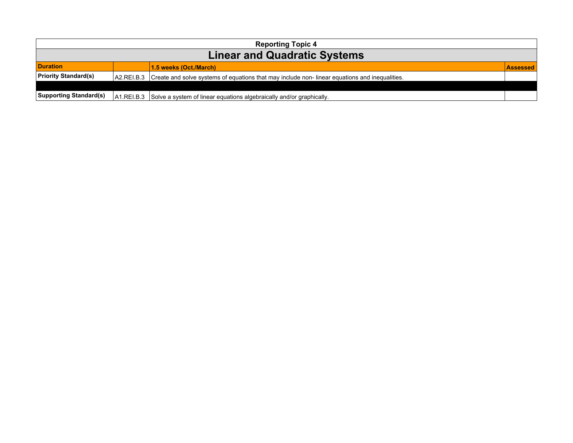| <b>Reporting Topic 4</b>            |            |                                                                                               |                 |
|-------------------------------------|------------|-----------------------------------------------------------------------------------------------|-----------------|
| <b>Linear and Quadratic Systems</b> |            |                                                                                               |                 |
| <b>Duration</b>                     |            | 1.5 weeks (Oct./March)                                                                        | <b>Assessed</b> |
| <b>Priority Standard(s)</b>         | A2.REI.B.3 | Create and solve systems of equations that may include non-linear equations and inequalities. |                 |
|                                     |            |                                                                                               |                 |
| <b>Supporting Standard(s)</b>       |            | A1.REI.B.3 Solve a system of linear equations algebraically and/or graphically.               |                 |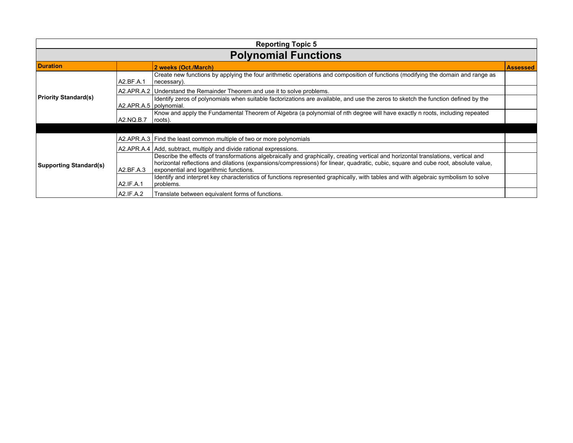| <b>Reporting Topic 5</b>      |                          |                                                                                                                                                                                                                                                                                                                    |                 |
|-------------------------------|--------------------------|--------------------------------------------------------------------------------------------------------------------------------------------------------------------------------------------------------------------------------------------------------------------------------------------------------------------|-----------------|
| <b>Polynomial Functions</b>   |                          |                                                                                                                                                                                                                                                                                                                    |                 |
| <b>Duration</b>               |                          | 2 weeks (Oct./March)                                                                                                                                                                                                                                                                                               | <b>Assessed</b> |
|                               | A2.BF.A.1                | Create new functions by applying the four arithmetic operations and composition of functions (modifying the domain and range as<br>necessary).                                                                                                                                                                     |                 |
|                               |                          | A2.APR.A.2   Understand the Remainder Theorem and use it to solve problems.                                                                                                                                                                                                                                        |                 |
| <b>Priority Standard(s)</b>   | A2.APR.A.5   polynomial. | Identify zeros of polynomials when suitable factorizations are available, and use the zeros to sketch the function defined by the                                                                                                                                                                                  |                 |
|                               | A2.NQ.B.7                | Know and apply the Fundamental Theorem of Algebra (a polynomial of nth degree will have exactly n roots, including repeated<br> roots).                                                                                                                                                                            |                 |
|                               |                          |                                                                                                                                                                                                                                                                                                                    |                 |
|                               |                          | A2.APR.A.3   Find the least common multiple of two or more polynomials                                                                                                                                                                                                                                             |                 |
|                               |                          | A2.APR.A.4   Add, subtract, multiply and divide rational expressions.                                                                                                                                                                                                                                              |                 |
| <b>Supporting Standard(s)</b> | A2.BF.A.3                | Describe the effects of transformations algebraically and graphically, creating vertical and horizontal translations, vertical and<br>horizontal reflections and dilations (expansions/compressions) for linear, quadratic, cubic, square and cube root, absolute value,<br>exponential and logarithmic functions. |                 |
|                               | A2.IF.A.1                | Identify and interpret key characteristics of functions represented graphically, with tables and with algebraic symbolism to solve<br>problems.                                                                                                                                                                    |                 |
|                               | A2.IF.A.2                | Translate between equivalent forms of functions.                                                                                                                                                                                                                                                                   |                 |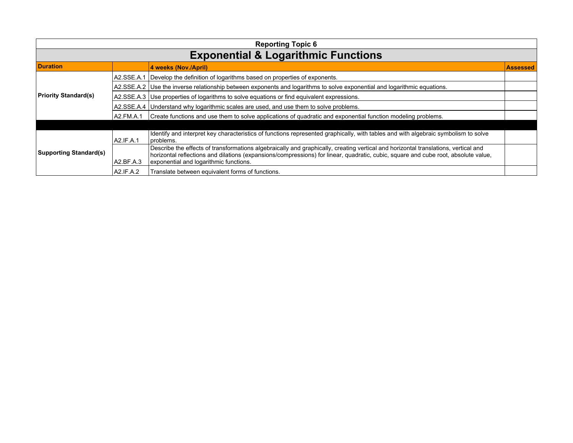| <b>Reporting Topic 6</b>      |                                                |                                                                                                                                                                                                                                                                                                                    |                 |  |
|-------------------------------|------------------------------------------------|--------------------------------------------------------------------------------------------------------------------------------------------------------------------------------------------------------------------------------------------------------------------------------------------------------------------|-----------------|--|
|                               | <b>Exponential &amp; Logarithmic Functions</b> |                                                                                                                                                                                                                                                                                                                    |                 |  |
| <b>Duration</b>               |                                                | 4 weeks (Nov./April)                                                                                                                                                                                                                                                                                               | <b>Assessed</b> |  |
|                               |                                                | A2.SSE.A.1 Develop the definition of logarithms based on properties of exponents.                                                                                                                                                                                                                                  |                 |  |
|                               |                                                | A2.SSE.A.2 Use the inverse relationship between exponents and logarithms to solve exponential and logarithmic equations.                                                                                                                                                                                           |                 |  |
| <b>Priority Standard(s)</b>   |                                                | A2.SSE.A.3   Use properties of logarithms to solve equations or find equivalent expressions.                                                                                                                                                                                                                       |                 |  |
|                               |                                                | A2.SSE.A.4   Understand why logarithmic scales are used, and use them to solve problems.                                                                                                                                                                                                                           |                 |  |
|                               | A2.FM.A.1                                      | Create functions and use them to solve applications of quadratic and exponential function modeling problems.                                                                                                                                                                                                       |                 |  |
|                               |                                                |                                                                                                                                                                                                                                                                                                                    |                 |  |
| <b>Supporting Standard(s)</b> | A2.IF.A.1                                      | Identify and interpret key characteristics of functions represented graphically, with tables and with algebraic symbolism to solve<br> problems.                                                                                                                                                                   |                 |  |
|                               | A2.BF.A.3                                      | Describe the effects of transformations algebraically and graphically, creating vertical and horizontal translations, vertical and<br>horizontal reflections and dilations (expansions/compressions) for linear, quadratic, cubic, square and cube root, absolute value,<br>exponential and logarithmic functions. |                 |  |
|                               | A2.IF.A.2                                      | Translate between equivalent forms of functions.                                                                                                                                                                                                                                                                   |                 |  |